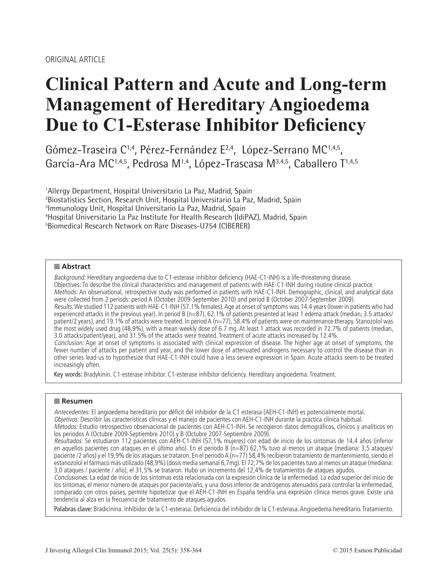# **Clinical Pattern and Acute and Long-term Management of Hereditary Angioedema Due to C1-Esterase Inhibitor Deficiency**

Gómez-Traseira C<sup>1,4</sup>, Pérez-Fernández E<sup>2,4</sup>, López-Serrano MC<sup>1,4,5</sup>, García-Ara MC<sup>1,4,5</sup>, Pedrosa M<sup>1,4</sup>, López-Trascasa M<sup>3,4,5</sup>, Caballero T<sup>1,4,5</sup>

 Allergy Department, Hospital Universitario La Paz, Madrid, Spain Biostatistics Section, Research Unit, Hospital Universitario La Paz, Madrid, Spain Immunology Unit, Hospital Universitario La Paz, Madrid, Spain Hospital Universitario La Paz Institute for Health Research (IdiPAZ), Madrid, Spain Biomedical Research Network on Rare Diseases-U754 (CIBERER)

#### **Abstract**

Background: Hereditary angioedema due to C1-esterase inhibitor deficiency (HAE-C1-INH) is a life-threatening disease. Objectives: To describe the clinical characteristics and management of patients with HAE-C1-INH during routine clinical practice. Methods: An observational, retrospective study was performed in patients with HAE-C1-INH. Demographic, clinical, and analytical data were collected from 2 periods: period A (October 2009-September 2010) and period B (October 2007-September 2009). Results: We studied 112 patients with HAE-C1-INH (57.1% females). Age at onset of symptoms was 14.4 years (lower in patients who had experienced attacks in the previous year). In period B (n=87), 62.1% of patients presented at least 1 edema attack (median, 3.5 attacks/ patient/2 years), and 19.1% of attacks were treated. In period A (n=77), 58.4% of patients were on maintenance therapy. Stanozolol was the most widely used drug (48.9%), with a mean weekly dose of 6.7 mg. At least 1 attack was recorded in 72.7% of patients (median, 3.0 attacks/patient/year), and 31.5% of the attacks were treated. Treatment of acute attacks increased by 12.4%. Conclusion: Age at onset of symptoms is associated with clinical expression of disease. The higher age at onset of symptoms, the fewer number of attacks per patient and year, and the lower dose of attenuated androgens necessary to control the disease than in other series lead us to hypothesize that HAE-C1-INH could have a less severe expression in Spain. Acute attacks seem to be treated increasingly often.

Key words: Bradykinin. C1-esterase inhibitor. C1-esterase inhibitor deficiency. Hereditary angioedema. Treatment.

#### **Resumen**

Antecedentes: El angioedema hereditario por déficit del inhibidor de la C1 esterasa (AEH-C1-INH) es potencialmente mortal. Objetivos: Describir las características clínicas y el manejo de pacientes con AEH-C1-INH durante la práctica clínica habitual.

Métodos: Estudio retrospectivo observacional de pacientes con AEH-C1-INH. Se recogieron datos demográficos, clínicos y analíticos en los periodos A (Octubre 2009-Septiembre 2010) y B (Octubre 2007-Septiembre 2009).

Resultados: Se estudiaron 112 pacientes con AEH-C1-INH (57,1% mujeres) con edad de inicio de los síntomas de 14,4 años (inferior en aquellos pacientes con ataques en el último año). En el periodo B (n=87) 62,1% tuvo al menos un ataque (mediana: 3,5 ataques/ paciente /2 años) y el 19,9% de los ataques se trataron. En el periodo A (n=77) 58,4% recibieron tratamiento de mantenimiento, siendo el estanozolol el fármaco más utilizado (48,9%) (dosis media semanal 6,7mg). El 72,7% de los pacientes tuvo al menos un ataque (mediana: 3,0 ataques / paciente / año), el 31,5% se trataron. Hubo un incremento del 12,4% de tratamientos de ataques agudos.

Conclusiones: La edad de inicio de los síntomas está relacionada con la expresión clínica de la enfermedad. La edad superior del inicio de los síntomas, el menor número de ataques por paciente/año, y una dosis inferior de andrógenos atenuados para controlar la enfermedad, comparado con otros países, permite hipotetizar que el AEH-C1-INH en España tendría una expresión clínica menos grave. Existe una tendencia al alza en la frecuencia de tratamiento de ataques agudos.

Palabras clave: Bradicinina. Inhibidor de la C1-esterasa. Deficiencia del inhibidor de la C1-esterasa. Angioedema hereditario. Tratamiento.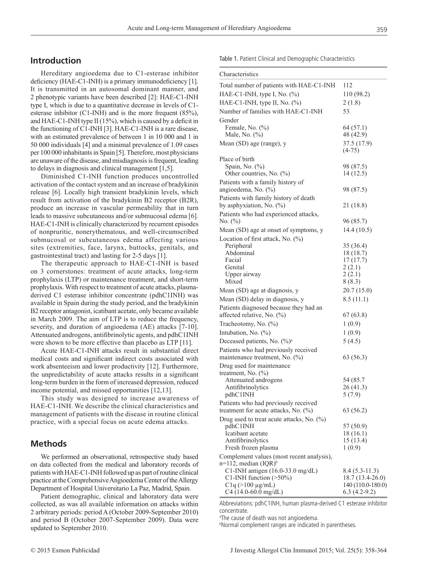### **Introduction**

Hereditary angioedema due to C1-esterase inhibitor deficiency (HAE-C1-INH) is a primary immunodeficiency [1]. It is transmitted in an autosomal dominant manner, and 2 phenotypic variants have been described [2]: HAE-C1-INH type I, which is due to a quantitative decrease in levels of C1 esterase inhibitor (C1-INH) and is the more frequent (85%), and HAE-C1-INH type II (15%), which is caused by a deficit in the functioning of C1-INH [3]. HAE-C1-INH is a rare disease, with an estimated prevalence of between 1 in 10 000 and 1 in 50 000 individuals [4] and a minimal prevalence of 1.09 cases per 100 000 inhabitants in Spain [5]. Therefore, most physicians are unaware of the disease, and misdiagnosis is frequent, leading to delays in diagnosis and clinical management [1,5].

Diminished C1-INH function produces uncontrolled activation of the contact system and an increase of bradykinin release [6]. Locally high transient bradykinin levels, which result from activation of the bradykinin B2 receptor (B2R), produce an increase in vascular permeability that in turn leads to massive subcutaneous and/or submucosal edema [6]. HAE-C1-INH is clinically characterized by recurrent episodes of nonpruritic, nonerythematous, and well-circumscribed submucosal or subcutaneous edema affecting various sites (extremities, face, larynx, buttocks, genitals, and gastrointestinal tract) and lasting for 2-5 days [1].

The therapeutic approach to HAE-C1-INH is based on 3 cornerstones: treatment of acute attacks, long-term prophylaxis (LTP) or maintenance treatment, and short-term prophylaxis. With respect to treatment of acute attacks, plasmaderived C1 esterase inhibitor concentrate (pdhC1INH) was available in Spain during the study period, and the bradykinin B2 receptor antagonist, icatibant acetate, only became available in March 2009. The aim of LTP is to reduce the frequency, severity, and duration of angioedema (AE) attacks [7-10]. Attenuated androgens, antifibrinolytic agents, and pdhC1INH were shown to be more effective than placebo as LTP [11].

Acute HAE-C1-INH attacks result in substantial direct medical costs and significant indirect costs associated with work absenteeism and lower productivity [12]. Furthermore, the unpredictability of acute attacks results in a significant long-term burden in the form of increased depression, reduced income potential, and missed opportunities [12,13].

This study was designed to increase awareness of HAE-C1-INH. We describe the clinical characteristics and management of patients with the disease in routine clinical practice, with a special focus on acute edema attacks.

#### **Methods**

We performed an observational, retrospective study based on data collected from the medical and laboratory records of patients with HAE-C1-INH followed up as part of routine clinical practice at the Comprehensive Angioedema Center of the Allergy Department of Hospital Universitario La Paz, Madrid, Spain.

Patient demographic, clinical and laboratory data were collected, as was all available information on attacks within 2 arbitrary periods: period A (October 2009-September 2010) and period B (October 2007-September 2009). Data were updated to September 2010.

Table 1. Patient Clinical and Demographic Characteristics

| Characteristics                                                                 |                                     |
|---------------------------------------------------------------------------------|-------------------------------------|
| Total number of patients with HAE-C1-INH                                        | 112                                 |
| HAE-C1-INH, type I, No. $(\%)$                                                  | 110 (98.2)                          |
| HAE-C1-INH, type II, No. (%)                                                    | 2(1.8)                              |
| Number of families with HAE-C1-INH                                              | 53                                  |
| Gender                                                                          |                                     |
| Female, No. $(\% )$                                                             | 64 (57.1)                           |
| Male, No. (%)                                                                   | 48 (42.9)                           |
| Mean (SD) age (range), y                                                        | 37.5 (17.9)                         |
|                                                                                 | $(4-75)$                            |
| Place of birth<br>Spain, No. (%)                                                | 98 (87.5)                           |
| Other countries, No. $(\%)$                                                     | 14(12.5)                            |
| Patients with a family history of                                               |                                     |
| angioedema, No. (%)                                                             | 98 (87.5)                           |
| Patients with family history of death                                           |                                     |
| by asphyxiation, No. (%)                                                        | 21 (18.8)                           |
| Patients who had experienced attacks,                                           |                                     |
| No. $(\%)$                                                                      | 96 (85.7)                           |
| Mean (SD) age at onset of symptoms, y                                           | 14.4(10.5)                          |
| Location of first attack, No. (%)                                               |                                     |
| Peripheral<br>Abdominal                                                         | 35 (36.4)<br>18 (18.7)              |
| Facial                                                                          | 17(17.7)                            |
| Genital                                                                         | 2(2.1)                              |
| Upper airway                                                                    | 2(2.1)                              |
| Mixed                                                                           | 8(8.3)                              |
| Mean (SD) age at diagnosis, y                                                   | 20.7(15.0)                          |
| Mean (SD) delay in diagnosis, y                                                 | 8.5(11.1)                           |
| Patients diagnosed because they had an                                          |                                     |
| affected relative, No. (%)                                                      | 67(63.8)                            |
| Tracheotomy, No. (%)                                                            | 1(0.9)                              |
| Intubation, No. $(\%)$                                                          | 1(0.9)                              |
| Deceased patients, No. $(\%)^a$                                                 | 5(4.5)                              |
| Patients who had previously received<br>maintenance treatment, No. $(\%)$       | 63 (56.3)                           |
| Drug used for maintenance                                                       |                                     |
| treatment, No. $(\%)$                                                           |                                     |
| Attenuated androgens                                                            | 54 (85.7                            |
| Antifibrinolytics                                                               | 26 (41.3)                           |
| pdhC1INH                                                                        | 5(7.9)                              |
| Patients who had previously received<br>treatment for acute attacks, No. $(\%)$ |                                     |
|                                                                                 | 63 (56.2)                           |
| Drug used to treat acute attacks, No. (%)<br>pdhC1INH                           | 57 (50.9)                           |
| Icatibant acetate                                                               | 18 (16.1)                           |
| Antifibrinolytics                                                               | 15 (13.4)                           |
| Fresh frozen plasma                                                             | 1(0.9)                              |
| Complement values (most recent analysis),                                       |                                     |
| $n=112$ , median (IQR) <sup>b</sup>                                             |                                     |
| C1-INH antigen (16.0-33.0 mg/dL)<br>C1-INH function $($ >50%)                   | $8.4(5.3-11.3)$<br>18.7 (13.4-26.0) |
| $C1q$ (>100 $\mu$ g/mL)                                                         | 140 (110.0-180.0)                   |
| $C4$ (14.0-60.0 mg/dL)                                                          | $6.3(4.2-9.2)$                      |

Abbreviations: pdhC1INH, human plasma-derived C1 esterase inhibitor concentrate.

a The cause of death was not angioedema.

b Normal complement ranges are indicated in parentheses.

359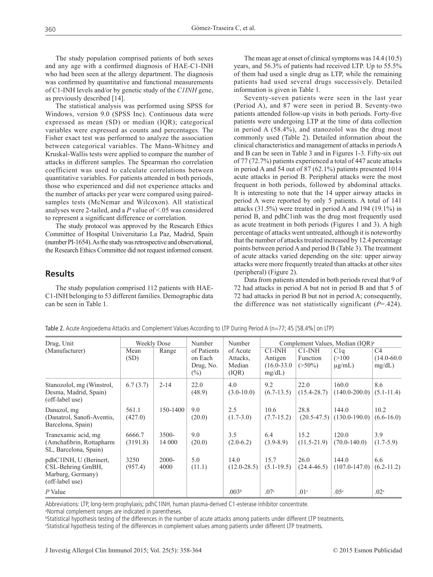The study population comprised patients of both sexes and any age with a confirmed diagnosis of HAE-C1-INH who had been seen at the allergy department. The diagnosis was confirmed by quantitative and functional measurements of C1-INH levels and/or by genetic study of the *C1INH* gene, as previously described [14].

The statistical analysis was performed using SPSS for Windows, version 9.0 (SPSS Inc). Continuous data were expressed as mean (SD) or median (IQR); categorical variables were expressed as counts and percentages. The Fisher exact test was performed to analyze the association between categorical variables. The Mann-Whitney and Kruskal-Wallis tests were applied to compare the number of attacks in different samples. The Spearman rho correlation coefficient was used to calculate correlations between quantitative variables. For patients attended in both periods, those who experienced and did not experience attacks and the number of attacks per year were compared using pairedsamples tests (McNemar and Wilcoxon). All statistical analyses were 2-tailed, and a *P* value of <.05 was considered to represent a significant difference or correlation.

The study protocol was approved by the Research Ethics Committee of Hospital Universitario La Paz, Madrid, Spain (number PI-1654). As the study was retrospective and observational, the Research Ethics Committee did not request informed consent.

## **Results**

The study population comprised 112 patients with HAE-C1-INH belonging to 53 different families. Demographic data can be seen in Table 1.

The mean age at onset of clinical symptoms was 14.4 (10.5) years, and 56.3% of patients had received LTP. Up to 55.5% of them had used a single drug as LTP, while the remaining patients had used several drugs successively. Detailed information is given in Table 1.

Seventy-seven patients were seen in the last year (Period A), and 87 were seen in period B. Seventy-two patients attended follow-up visits in both periods. Forty-five patients were undergoing LTP at the time of data collection in period A (58.4%), and stanozolol was the drug most commonly used (Table 2). Detailed information about the clinical characteristics and management of attacks in periodsA and B can be seen in Table 3 and in Figures 1-3. Fifty-six out of 77 (72.7%) patients experienced a total of 447 acute attacks in period A and 54 out of 87 (62.1%) patients presented 1014 acute attacks in period B. Peripheral attacks were the most frequent in both periods, followed by abdominal attacks. It is interesting to note that the 14 upper airway attacks in period A were reported by only 5 patients. A total of 141 attacks (31.5%) were treated in period A and 194 (19.1%) in period B, and pdhC1inh was the drug most frequently used as acute treatment in both periods (Figures 1 and 3). A high percentage of attacks went untreated, although it is noteworthy that the number of attacks treated increased by 12.4 percentage points between period A and period B (Table 3). The treatment of acute attacks varied depending on the site: upper airway attacks were more frequently treated than attacks at other sites (peripheral) (Figure 2).

Data from patients attended in both periods reveal that 9 of 72 had attacks in period A but not in period B and that 5 of 72 had attacks in period B but not in period A; consequently, the difference was not statistically significant (*P*=.424).

| Drug, Unit                                                                          | Weekly Dose        |                    | Number                                        | Number                                  | Complement Values, Median (IOR) <sup>a</sup>         |                                   |                                      |                                             |
|-------------------------------------------------------------------------------------|--------------------|--------------------|-----------------------------------------------|-----------------------------------------|------------------------------------------------------|-----------------------------------|--------------------------------------|---------------------------------------------|
| (Manufacturer)                                                                      | Mean<br>(SD)       | Range              | of Patients<br>on Each<br>Drug, No.<br>$(\%)$ | of Acute<br>Attacks.<br>Median<br>(IOR) | $C1$ -INH<br>Antigen<br>$(16.0 - 33.0)$<br>$mg/dL$ ) | $C1-IMH$<br>Function<br>$(>50\%)$ | Clq<br>(>100<br>$\mu$ g/mL)          | C <sub>4</sub><br>$(14.0 - 60.0)$<br>mg/dL) |
| Stanozolol, mg (Winstrol,<br>Desma, Madrid, Spain)<br>(off-label use)               | 6.7(3.7)           | $2 - 14$           | 22.0<br>(48.9)                                | 4.0<br>$(3.0 - 10.0)$                   | 9.2<br>$(6.7-13.5)$                                  | 22.0<br>$(15.4 - 28.7)$           | 160.0<br>$(140.0 - 200.0)$           | 8.6<br>$(5.1 - 11.4)$                       |
| Danazol, mg<br>(Danatrol, Sanofi-Aventis,<br>Barcelona, Spain)                      | 561.1<br>(427.0)   | 150-1400           | 9.0<br>(20.0)                                 | 2.5<br>$(1.7-3.0)$                      | 10.6<br>$(7.7-15.2)$                                 | 28.8                              | 144.0<br>$(20.5-47.5)$ (130.0-190.0) | 10.2<br>$(6.6 - 16.0)$                      |
| Tranexamic acid, mg<br>(Amchafibrin, Rottapharm<br>SL, Barcelona, Spain)            | 6666.7<br>(3191.8) | $3500 -$<br>14 000 | 9.0<br>(20.0)                                 | 3.5<br>$(2.0-6.2)$                      | 6.4<br>$(3.9 - 8.9)$                                 | 15.2<br>$(11.5 - 21.9)$           | 120.0<br>$(70.0 - 140.0)$            | 3.9<br>$(1.7-5.9)$                          |
| pdhC1INH, U (Berinert,<br>CSL-Behring GmBH,<br>Marburg, Germany)<br>(off-label use) | 3250<br>(957.4)    | $2000 -$<br>4000   | 5.0<br>(11.1)                                 | 14.0<br>$(12.0 - 28.5)$                 | 15.7<br>$(5.1 - 19.5)$                               | 26.0<br>$(24.4 - 46.5)$           | 144.0<br>$(107.0 - 147.0)$           | 6.6<br>$(6.2-11.2)$                         |
| P Value                                                                             |                    |                    |                                               | .003 <sup>b</sup>                       | .07 <sup>c</sup>                                     | .01 <sup>c</sup>                  | .05 <sup>c</sup>                     | .02 <sup>c</sup>                            |

Table 2. Acute Angioedema Attacks and Complement Values According to LTP During Period A (n=77; 45 [58.4%] on LTP)

Abbreviations: LTP, long-term prophylaxis; pdhC1INH, human plasma-derived C1-esterase inhibitor concentrate.

a Normal complement ranges are indicated in parentheses.

b Statistical hypothesis testing of the differences in the number of acute attacks among patients under different LTP treatments.

c Statistical hypothesis testing of the differences in complement values among patients under different LTP treatments.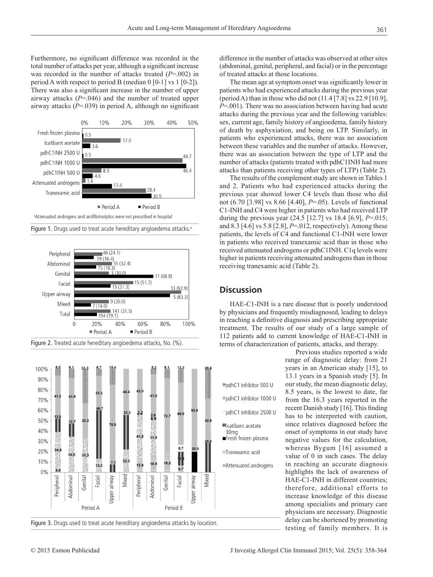Furthermore, no significant difference was recorded in the total number of attacks per year, although a significant increase was recorded in the number of attacks treated (*P*=.002) in period A with respect to period B (median 0 [0-1] vs 1 [0-2]). There was also a significant increase in the number of upper airway attacks (*P*=.046) and the number of treated upper airway attacks (*P*=.039) in period A, although no significant











difference in the number of attacks was observed at other sites (abdominal, genital, peripheral, and facial) or in the percentage of treated attacks at those locations.

The mean age at symptom onset was significantly lower in patients who had experienced attacks during the previous year (period A) than in those who did not (11.4 [7.8] vs 22.9 [10.9], *P*=.001). There was no association between having had acute attacks during the previous year and the following variables: sex, current age, family history of angioedema, family history of death by asphyxiation, and being on LTP. Similarly, in patients who experienced attacks, there was no association between these variables and the number of attacks. However, there was an association between the type of LTP and the number of attacks (patients treated with pdhC1INH had more attacks than patients receiving other types of LTP) (Table 2).

The results of the complement study are shown in Tables 1 and 2. Patients who had experienced attacks during the previous year showed lower C4 levels than those who did not (6.70 [3.98] vs 8.66 [4.40], *P*=.05). Levels of functional C1-INH and C4 were higher in patients who had received LTP during the previous year (24.5 [12.7] vs 18.4 [6.9], *P*=.015; and 8.3 [4.6] vs 5.8 [2.8], *P*=.012, respectively). Among these patients, the levels of C4 and functional C1-INH were lower in patients who received tranexamic acid than in those who received attenuated androgens or pdhC1INH. C1q levels were higher in patients receiving attenuated androgens than in those receiving tranexamic acid (Table 2).

#### **Discussion**

HAE-C1-INH is a rare disease that is poorly understood by physicians and frequently misdiagnosed, leading to delays in reaching a definitive diagnosis and prescribing appropriate treatment. The results of our study of a large sample of 112 patients add to current knowledge of HAE-C1-INH in terms of characterization of patients, attacks, and therapy.

> Previous studies reported a wide range of diagnostic delay: from 21 years in an American study [15], to 13.1 years in a Spanish study [5]. In our study, the mean diagnostic delay, 8.5 years, is the lowest to date, far from the 16.3 years reported in the recent Danish study [16]. This finding has to be interpreted with caution, since relatives diagnosed before the onset of symptoms in our study have negative values for the calculation, whereas Bygum [16] assumed a value of 0 in such cases. The delay in reaching an accurate diagnosis highlights the lack of awareness of HAE-C1-INH in different countries; therefore, additional efforts to increase knowledge of this disease among specialists and primary care physicians are necessary. Diagnostic delay can be shortened by promoting testing of family members. It is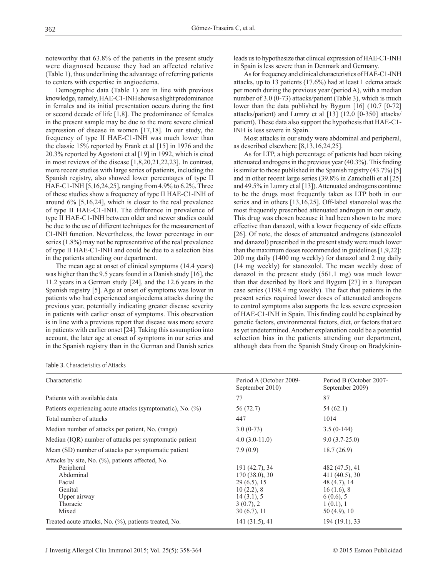noteworthy that 63.8% of the patients in the present study were diagnosed because they had an affected relative (Table 1), thus underlining the advantage of referring patients to centers with expertise in angioedema.

Demographic data (Table 1) are in line with previous knowledge, namely, HAE-C1-INH shows a slight predominance in females and its initial presentation occurs during the first or second decade of life [1,8]. The predominance of females in the present sample may be due to the more severe clinical expression of disease in women [17,18]. In our study, the frequency of type II HAE-C1-INH was much lower than the classic 15% reported by Frank et al [15] in 1976 and the 20.3% reported by Agostoni et al [19] in 1992, which is cited in most reviews of the disease [1,8,20,21,22,23]. In contrast, more recent studies with large series of patients, including the Spanish registry, also showed lower percentages of type II HAE-C1-INH [5,16,24,25], ranging from 4.9% to 6.2%. Three of these studies show a frequency of type II HAE-C1-INH of around 6% [5,16,24], which is closer to the real prevalence of type II HAE-C1-INH. The difference in prevalence of type II HAE-C1-INH between older and newer studies could be due to the use of different techniques for the measurement of C1-INH function. Nevertheless, the lower percentage in our series (1.8%) may not be representative of the real prevalence of type II HAE-C1-INH and could be due to a selection bias in the patients attending our department.

The mean age at onset of clinical symptoms (14.4 years) was higher than the 9.5 years found in a Danish study [16], the 11.2 years in a German study [24], and the 12.6 years in the Spanish registry [5]. Age at onset of symptoms was lower in patients who had experienced angioedema attacks during the previous year, potentially indicating greater disease severity in patients with earlier onset of symptoms. This observation is in line with a previous report that disease was more severe in patients with earlier onset [24]. Taking this assumption into account, the later age at onset of symptoms in our series and in the Spanish registry than in the German and Danish series leads us to hypothesize that clinical expression of HAE-C1-INH in Spain is less severe than in Denmark and Germany.

As for frequency and clinical characteristics of HAE-C1-INH attacks, up to 13 patients (17.6%) had at least 1 edema attack per month during the previous year (period A), with a median number of 3.0 (0-73) attacks/patient (Table 3), which is much lower than the data published by Bygum [16] (10.7 [0-72] attacks/patient) and Lumry et al [13] (12.0 [0-350] attacks/ patient). These data also support the hypothesis that HAE-C1- INH is less severe in Spain.

Most attacks in our study were abdominal and peripheral, as described elsewhere [8,13,16,24,25].

As for LTP, a high percentage of patients had been taking attenuated androgens in the previous year (40.3%). This finding is similar to those published in the Spanish registry (43.7%) [5] and in other recent large series (39.8% in Zanichelli et al [25] and 49.5% in Lumry et al [13]). Attenuated androgens continue to be the drugs most frequently taken as LTP both in our series and in others [13,16,25]. Off-label stanozolol was the most frequently prescribed attenuated androgen in our study. This drug was chosen because it had been shown to be more effective than danazol, with a lower frequency of side effects [26]. Of note, the doses of attenuated androgens (stanozolol) and danazol) prescribed in the present study were much lower than the maximum doses recommended in guidelines [1,9,22]: 200 mg daily (1400 mg weekly) for danazol and 2 mg daily (14 mg weekly) for stanozolol. The mean weekly dose of danazol in the present study (561.1 mg) was much lower than that described by Bork and Bygum [27] in a European case series (1198.4 mg weekly). The fact that patients in the present series required lower doses of attenuated androgens to control symptoms also supports the less severe expression of HAE-C1-INH in Spain. This finding could be explained by genetic factors, environmental factors, diet, or factors that are as yet undetermined. Another explanation could be a potential selection bias in the patients attending our department, although data from the Spanish Study Group on Bradykinin-

Table 3. Characteristics of Attacks

| Characteristic                                                                                                                        | Period A (October 2009-<br>September 2010)                                                                 | Period B (October 2007-<br>September 2009)                                                                   |
|---------------------------------------------------------------------------------------------------------------------------------------|------------------------------------------------------------------------------------------------------------|--------------------------------------------------------------------------------------------------------------|
| Patients with available data                                                                                                          | 77                                                                                                         | 87                                                                                                           |
| Patients experiencing acute attacks (symptomatic), No. $(\%)$                                                                         | 56 (72.7)                                                                                                  | 54 (62.1)                                                                                                    |
| Total number of attacks                                                                                                               | 447                                                                                                        | 1014                                                                                                         |
| Median number of attacks per patient, No. (range)                                                                                     | $3.0(0-73)$                                                                                                | $3.5(0-144)$                                                                                                 |
| Median (IQR) number of attacks per symptomatic patient                                                                                | $4.0(3.0-11.0)$                                                                                            | $9.0(3.7-25.0)$                                                                                              |
| Mean (SD) number of attacks per symptomatic patient                                                                                   | 7.9(0.9)                                                                                                   | 18.7(26.9)                                                                                                   |
| Attacks by site, No. (%), patients affected, No.<br>Peripheral<br>Abdominal<br>Facial<br>Genital<br>Upper airway<br>Thoracic<br>Mixed | 191 (42.7), 34<br>170(38.0), 30<br>$29(6.5)$ , 15<br>10(2.2), 8<br>14(3.1), 5<br>3(0.7), 2<br>30 (6.7), 11 | 482 (47.5), 41<br>411 (40.5), 30<br>48(4.7), 14<br>16(1.6), 8<br>$6(0.6)$ , 5<br>1(0.1), 1<br>$50(4.9)$ , 10 |
| Treated acute attacks, No. (%), patients treated, No.                                                                                 | 141 (31.5), 41                                                                                             | 194 (19.1), 33                                                                                               |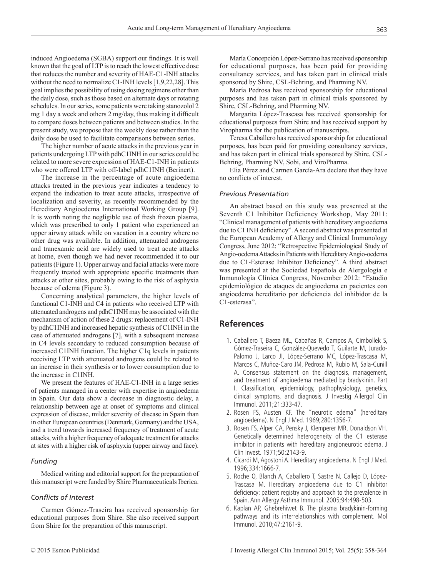induced Angioedema (SGBA) support our findings. It is well known that the goal of LTP is to reach the lowest effective dose that reduces the number and severity of HAE-C1-INH attacks without the need to normalize C1-INH levels [1,9,22,28]. This goal implies the possibility of using dosing regimens other than the daily dose, such as those based on alternate days or rotating schedules. In our series, some patients were taking stanozolol 2 mg 1 day a week and others 2 mg/day, thus making it difficult to compare doses between patients and between studies. In the present study, we propose that the weekly dose rather than the daily dose be used to facilitate comparisons between series.

The higher number of acute attacks in the previous year in patients undergoing LTP with pdhC1INH in our series could be related to more severe expression of HAE-C1-INH in patients who were offered LTP with off-label pdhC1INH (Berinert).

The increase in the percentage of acute angioedema attacks treated in the previous year indicates a tendency to expand the indication to treat acute attacks, irrespective of localization and severity, as recently recommended by the Hereditary Angioedema International Working Group [9]. It is worth noting the negligible use of fresh frozen plasma, which was prescribed to only 1 patient who experienced an upper airway attack while on vacation in a country where no other drug was available. In addition, attenuated androgens and tranexamic acid are widely used to treat acute attacks at home, even though we had never recommended it to our patients (Figure 1). Upper airway and facial attacks were more frequently treated with appropriate specific treatments than attacks at other sites, probably owing to the risk of asphyxia because of edema (Figure 3).

Concerning analytical parameters, the higher levels of functional C1-INH and C4 in patients who received LTP with attenuated androgens and pdhC1INH may be associated with the mechanism of action of these 2 drugs: replacement of C1-INH by pdhC1INH and increased hepatic synthesis of C1INH in the case of attenuated androgens [7], with a subsequent increase in C4 levels secondary to reduced consumption because of increased C1INH function. The higher C1q levels in patients receiving LTP with attenuated androgens could be related to an increase in their synthesis or to lower consumption due to the increase in C1INH.

We present the features of HAE-C1-INH in a large series of patients managed in a center with expertise in angioedema in Spain. Our data show a decrease in diagnostic delay, a relationship between age at onset of symptoms and clinical expression of disease, milder severity of disease in Spain than in other European countries (Denmark, Germany) and the USA, and a trend towards increased frequency of treatment of acute attacks, with a higher frequency of adequate treatment for attacks at sites with a higher risk of asphyxia (upper airway and face).

#### *Funding*

Medical writing and editorial support for the preparation of this manuscript were funded by Shire Pharmaceuticals Iberica.

#### *Conflicts of Interest*

Carmen Gómez-Traseira has received sponsorship for educational purposes from Shire. She also received support from Shire for the preparation of this manuscript.

María Concepción López-Serrano has received sponsorship for educational purposes, has been paid for providing consultancy services, and has taken part in clinical trials sponsored by Shire, CSL-Behring, and Pharming NV.

María Pedrosa has received sponsorship for educational purposes and has taken part in clinical trials sponsored by Shire, CSL-Behring, and Pharming NV.

Margarita López-Trascasa has received sponsorship for educational purposes from Shire and has received support by Viropharma for the publication of manuscripts.

Teresa Caballero has received sponsorship for educational purposes, has been paid for providing consultancy services, and has taken part in clinical trials sponsored by Shire, CSL-Behring, Pharming NV, Sobi, and ViroPharma.

Elia Pérez and Carmen García-Ara declare that they have no conflicts of interest.

#### *Previous Presentation*

An abstract based on this study was presented at the Seventh C1 Inhibitor Deficiency Workshop, May 2011: "Clinical management of patients with hereditary angioedema due to C1 INH deficiency". A second abstract was presented at the European Academy of Allergy and Clinical Immunology Congress, June 2012: "Retrospective Epidemiological Study of Angio-oedema Attacks in Patients with Hereditary Angio-oedema due to C1-Esterase Inhibitor Deficiency". A third abstract was presented at the Sociedad Española de Alergología e Inmunología Clínica Congress, November 2012: "Estudio epidemiológico de ataques de angioedema en pacientes con angioedema hereditario por deficiencia del inhibidor de la C1-esterasa".

#### **References**

- 1. Caballero T, Baeza ML, Cabañas R, Campos A, Cimbollek S, Gómez-Traseira C, González-Quevedo T, Guilarte M, Jurado-Palomo J, Larco JI, López-Serrano MC, López-Trascasa M, Marcos C, Muñoz-Caro JM, Pedrosa M, Rubio M, Sala-Cunill A. Consensus statement on the diagnosis, management, and treatment of angioedema mediated by bradykinin. Part I. Classification, epidemiology, pathophysiology, genetics, clinical symptoms, and diagnosis. J Investig Allergol Clin Immunol. 2011;21:333-47.
- 2. Rosen FS, Austen KF. The "neurotic edema" (hereditary angioedema). N Engl J Med. 1969;280:1356-7.
- 3. Rosen FS, Alper CA, Pensky J, Klemperer MR, Donaldson VH. Genetically determined heterogeneity of the C1 esterase inhibitor in patients with hereditary angioneurotic edema. J Clin Invest. 1971;50:2143-9.
- 4. Cicardi M, Agostoni A. Hereditary angioedema. N Engl J Med. 1996;334:1666-7.
- 5. Roche O, Blanch A, Caballero T, Sastre N, Callejo D, López-Trascasa M. Hereditary angioedema due to C1 inhibitor deficiency: patient registry and approach to the prevalence in Spain. Ann Allergy Asthma Immunol. 2005;94:498-503.
- 6. Kaplan AP, Ghebrehiwet B. The plasma bradykinin-forming pathways and its interrelationships with complement. Mol Immunol. 2010;47:2161-9.